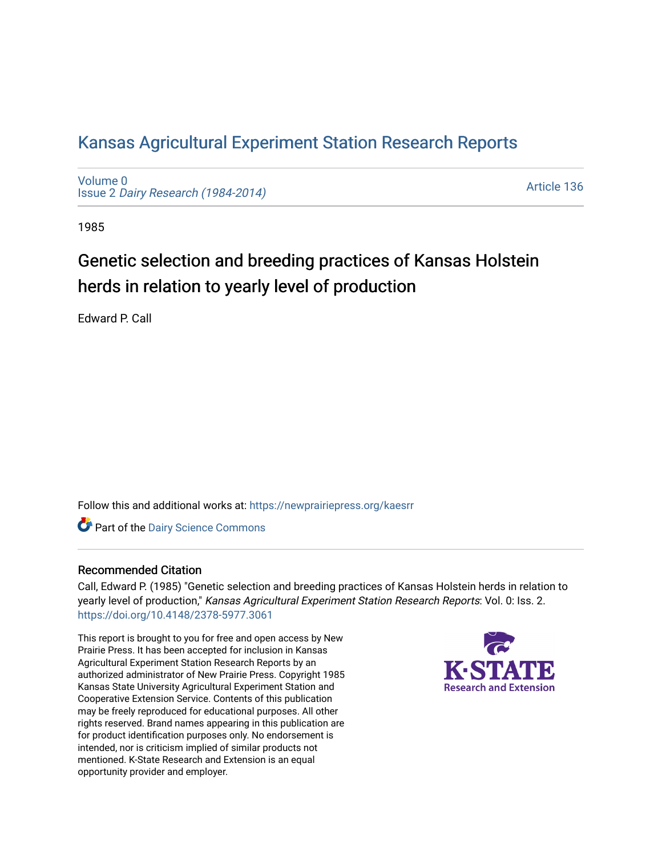# [Kansas Agricultural Experiment Station Research Reports](https://newprairiepress.org/kaesrr)

[Volume 0](https://newprairiepress.org/kaesrr/vol0) Issue 2 [Dairy Research \(1984-2014\)](https://newprairiepress.org/kaesrr/vol0/iss2) 

[Article 136](https://newprairiepress.org/kaesrr/vol0/iss2/136) 

1985

# Genetic selection and breeding practices of Kansas Holstein herds in relation to yearly level of production

Edward P. Call

Follow this and additional works at: [https://newprairiepress.org/kaesrr](https://newprairiepress.org/kaesrr?utm_source=newprairiepress.org%2Fkaesrr%2Fvol0%2Fiss2%2F136&utm_medium=PDF&utm_campaign=PDFCoverPages) 

Part of the [Dairy Science Commons](http://network.bepress.com/hgg/discipline/79?utm_source=newprairiepress.org%2Fkaesrr%2Fvol0%2Fiss2%2F136&utm_medium=PDF&utm_campaign=PDFCoverPages) 

## Recommended Citation

Call, Edward P. (1985) "Genetic selection and breeding practices of Kansas Holstein herds in relation to yearly level of production," Kansas Agricultural Experiment Station Research Reports: Vol. 0: Iss. 2. <https://doi.org/10.4148/2378-5977.3061>

This report is brought to you for free and open access by New Prairie Press. It has been accepted for inclusion in Kansas Agricultural Experiment Station Research Reports by an authorized administrator of New Prairie Press. Copyright 1985 Kansas State University Agricultural Experiment Station and Cooperative Extension Service. Contents of this publication may be freely reproduced for educational purposes. All other rights reserved. Brand names appearing in this publication are for product identification purposes only. No endorsement is intended, nor is criticism implied of similar products not mentioned. K-State Research and Extension is an equal opportunity provider and employer.

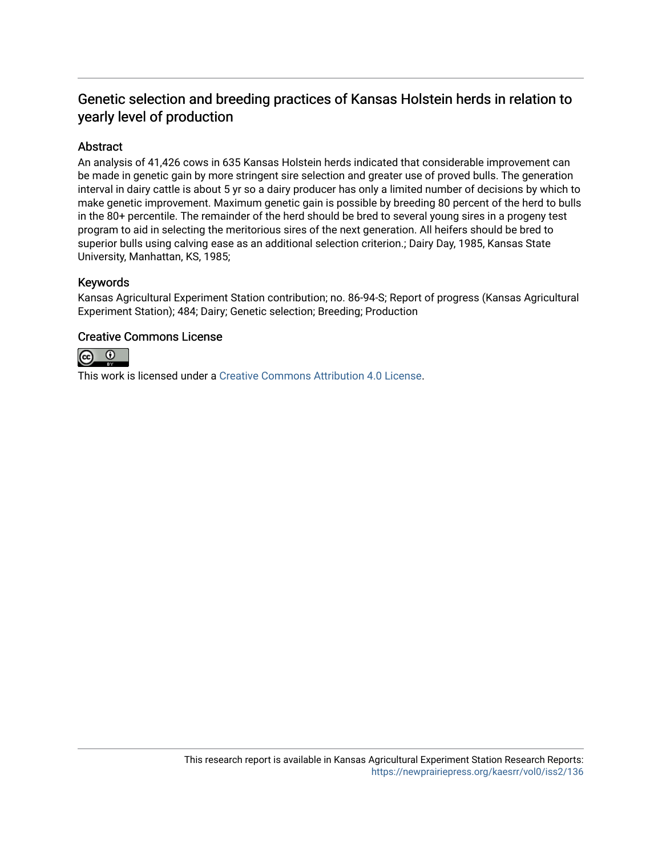## Genetic selection and breeding practices of Kansas Holstein herds in relation to yearly level of production

## Abstract

An analysis of 41,426 cows in 635 Kansas Holstein herds indicated that considerable improvement can be made in genetic gain by more stringent sire selection and greater use of proved bulls. The generation interval in dairy cattle is about 5 yr so a dairy producer has only a limited number of decisions by which to make genetic improvement. Maximum genetic gain is possible by breeding 80 percent of the herd to bulls in the 80+ percentile. The remainder of the herd should be bred to several young sires in a progeny test program to aid in selecting the meritorious sires of the next generation. All heifers should be bred to superior bulls using calving ease as an additional selection criterion.; Dairy Day, 1985, Kansas State University, Manhattan, KS, 1985;

## Keywords

Kansas Agricultural Experiment Station contribution; no. 86-94-S; Report of progress (Kansas Agricultural Experiment Station); 484; Dairy; Genetic selection; Breeding; Production

## Creative Commons License



This work is licensed under a [Creative Commons Attribution 4.0 License](https://creativecommons.org/licenses/by/4.0/).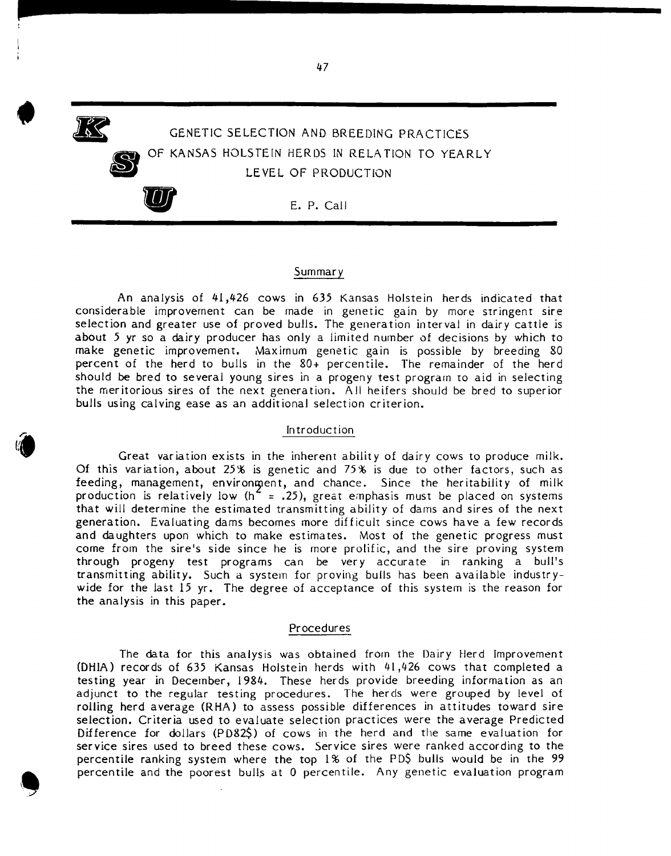GENETIC SELECTION AND BREEDING PRACTICES OF KANSAS HOLSTEIN HERDS IN RELATION TO YEARLY LE VEL OF PRODUCTION LEVEL OF PROD

• F

**S** 

### Summary

An analysis of 41,426 cows in 635 Kansas Holstein herds indicated that considerable improvement can be made in genetic gain by more stringent sire selection and greater use of proved bulls. The generation interval in dairy cattle is about 5 yr so a dairy producer has only a limited number of decisions by which to make genetic improvement. Maximum genetic gain is possible by breeding 80 percent of the herd to bulls in the 80+ percentile. The remainder of the herd should be bred to several young sires in a progeny test program to aid in selecting the meritorious sires of the next generation. All heifers should be bred to superior bulls using calving ease as an additional selection criterion.

#### Introduction

Great variation exists in the inherent ability of dairy cows to produce milk. Of this variation, about 25% is genetic and 75% is due to other factors, such as feeding, management, environment, and chance. Since the heritability of milk production is relatively low (h<sup>2</sup> = .25), great emphasis must be placed on systems that will determine the estimated transmitting ability of dams and sires of the next generation. Evaluating dams becomes more difficult since cows have a few records and daughters upon which to make estimates. Most of the genetic progress must come from the sire's side since he is more prolific, and the sire proving system through progeny test programs can be very accurate in ranking a bull's transmitting ability. Such a system for proving bulls has been available industrywide for the last 15 yr. The degree of acceptance of this system is the reason for the analysis in this paper.

#### Procedures

The data for this analysis was obtained from the Dairy Herd Improvement (DHIA) records of 635 Kansas Holstein herds with 41,426 cows that completed a testing year in December, 1984. These herds provide breeding information as an adjunct to the regular testing procedures. The herds were grouped by level of rolling herd average (RHA) to assess possible differences in attitudes toward sire selection. Criteria used to evaluate selection practices were the average Predicted Difference for dollars (P082\$) of cows in the herd and the same evaluation for service sires used to breed these cows. Service sires were ranked according to the percentile ranking system where the top 1% of the PD\$ bulls would be in the 99 percentile and the poorest bulls at 0 percentile. Any genetic evaluation program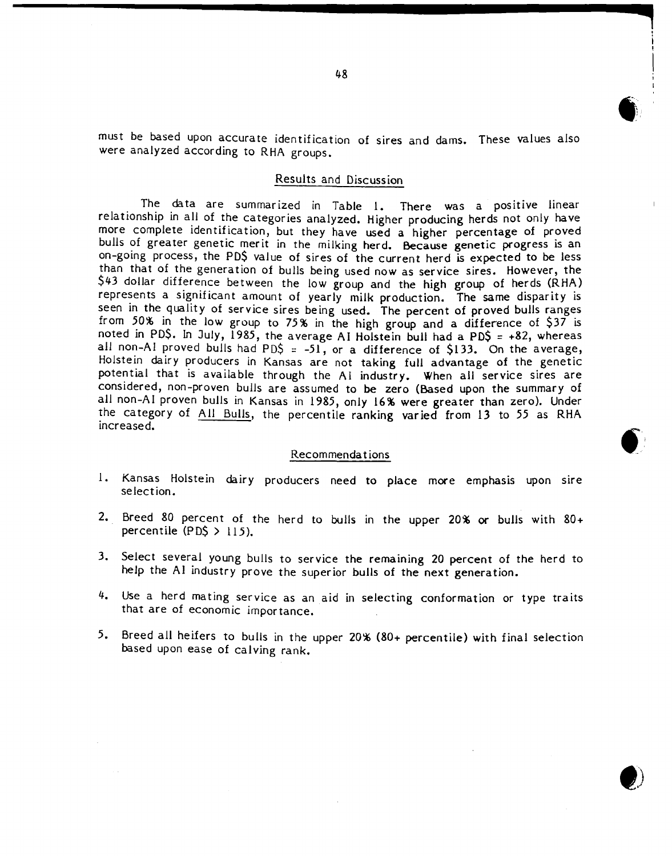must be based upon accurate identification of sires and dams. These values also were analyzed according to RHA groups.

#### Results and Discussion

The data are summarized in Table 1. There was a positive linear relationship in all of the categories analyzed. Higher producing herds not only have more complete identification, but they have used a higher percentage of proved bulls of greater genetic merit in the milking herd. Because genetic progress is an on-going process, the PD\$ value of sires of the current herd is expected to be less than that of the generation of bulls being used now as service sires. However, the \$43 dollar difference between the low group and the high group of herds (RHA) represents a significant amount of yearly milk production. The same disparity is seen in the quality of service sires being used. The percent of proved bulls ranges from 50% in the low group to 75% in the high group and a difference of \$37 is noted in PD\$. In July, 1985, the average AI Holstein bull had a PD\$ = +82, whereas all non-AI proved bulls had PD\$ =  $-51$ , or a difference of \$133. On the average, Holstein dairy producers in Kansas are not taking full advantage of the genetic potential that is available through the AI industry. When all service sires are considered, non-proven bulls are assumed to be zero (Based upon the summary of all non-AI proven bulls in Kansas in 1985, only 16% were greater than zero). Under the category of AU Bulls, the percentile ranking varied from 13 to 55 as RHA increased.

#### Recommendations

- 1. Kansas Holstein dairy producers need to place more emphasis upon sire selection.
- 2. Breed 80 percent of the herd to bulls in the upper 20% or bulls with  $80+$ percentile  $(PDS > 115)$ .
- 3. Select several young bulls to service the remaining 20 percent of the herd to help the AI industry prove the superior bulls of the next generation.
- 4. Use a herd mating service as an aid in selecting conformation or type traits that are of economic importance.
- 5. Breed all heifers to bulls in the upper 20% (80+ percentile) with final selection based upon ease of calving rank.

**...,**

**G** 

**------------------**